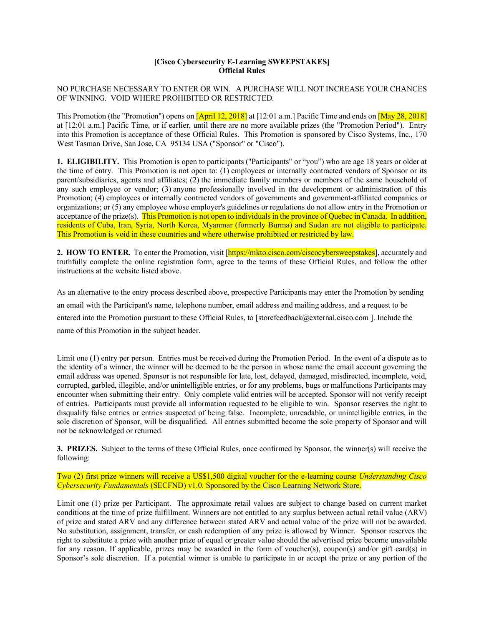## **[Cisco Cybersecurity E-Learning SWEEPSTAKES] Official Rules**

## NO PURCHASE NECESSARY TO ENTER OR WIN. A PURCHASE WILL NOT INCREASE YOUR CHANCES OF WINNING. VOID WHERE PROHIBITED OR RESTRICTED.

This Promotion (the "Promotion") opens on [April 12, 2018] at [12:01 a.m.] Pacific Time and ends on [May 28, 2018] at [12:01 a.m.] Pacific Time, or if earlier, until there are no more available prizes (the "Promotion Period"). Entry into this Promotion is acceptance of these Official Rules. This Promotion is sponsored by Cisco Systems, Inc., 170 West Tasman Drive, San Jose, CA 95134 USA ("Sponsor" or "Cisco").

**1. ELIGIBILITY.** This Promotion is open to participants ("Participants" or "you") who are age 18 years or older at the time of entry. This Promotion is not open to: (1) employees or internally contracted vendors of Sponsor or its parent/subsidiaries, agents and affiliates; (2) the immediate family members or members of the same household of any such employee or vendor; (3) anyone professionally involved in the development or administration of this Promotion; (4) employees or internally contracted vendors of governments and government-affiliated companies or organizations; or (5) any employee whose employer's guidelines or regulations do not allow entry in the Promotion or acceptance of the prize(s). This Promotion is not open to individuals in the province of Quebec in Canada. In addition, residents of Cuba, Iran, Syria, North Korea, Myanmar (formerly Burma) and Sudan are not eligible to participate. This Promotion is void in these countries and where otherwise prohibited or restricted by law.

**2. HOW TO ENTER.** To enter the Promotion, visit [https://mkto.cisco.com/ciscocybersweepstakes], accurately and truthfully complete the online registration form, agree to the terms of these Official Rules, and follow the other instructions at the website listed above.

As an alternative to the entry process described above, prospective Participants may enter the Promotion by sending an email with the Participant's name, telephone number, email address and mailing address, and a request to be entered into the Promotion pursuant to these Official Rules, to [storefeedback@external.cisco.com ]. Include the name of this Promotion in the subject header.

Limit one (1) entry per person. Entries must be received during the Promotion Period. In the event of a dispute as to the identity of a winner, the winner will be deemed to be the person in whose name the email account governing the email address was opened. Sponsor is not responsible for late, lost, delayed, damaged, misdirected, incomplete, void, corrupted, garbled, illegible, and/or unintelligible entries, or for any problems, bugs or malfunctions Participants may encounter when submitting their entry. Only complete valid entries will be accepted. Sponsor will not verify receipt of entries. Participants must provide all information requested to be eligible to win. Sponsor reserves the right to disqualify false entries or entries suspected of being false. Incomplete, unreadable, or unintelligible entries, in the sole discretion of Sponsor, will be disqualified. All entries submitted become the sole property of Sponsor and will not be acknowledged or returned.

**3. PRIZES.** Subject to the terms of these Official Rules, once confirmed by Sponsor, the winner(s) will receive the following:

Two (2) first prize winners will receive a US\$1,500 digital voucher for the e-learning course *Understanding Cisco Cybersecurity Fundamentals* (SECFND) v1.0. Sponsored by the Cisco Learning Network Store.

Limit one (1) prize per Participant. The approximate retail values are subject to change based on current market conditions at the time of prize fulfillment. Winners are not entitled to any surplus between actual retail value (ARV) of prize and stated ARV and any difference between stated ARV and actual value of the prize will not be awarded. No substitution, assignment, transfer, or cash redemption of any prize is allowed by Winner. Sponsor reserves the right to substitute a prize with another prize of equal or greater value should the advertised prize become unavailable for any reason. If applicable, prizes may be awarded in the form of voucher(s), coupon(s) and/or gift card(s) in Sponsor's sole discretion. If a potential winner is unable to participate in or accept the prize or any portion of the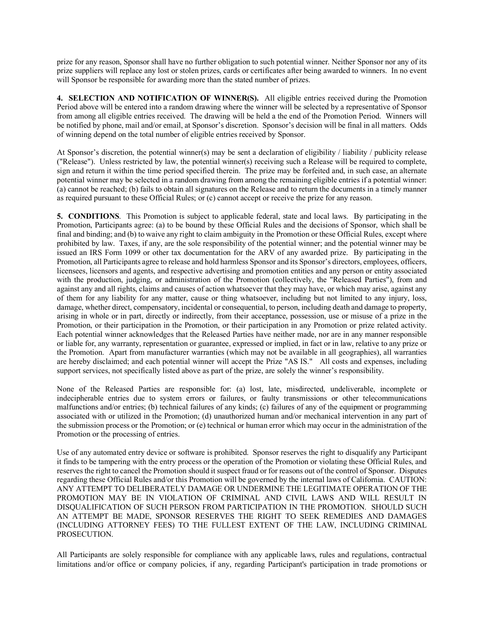prize for any reason, Sponsor shall have no further obligation to such potential winner. Neither Sponsor nor any of its prize suppliers will replace any lost or stolen prizes, cards or certificates after being awarded to winners. In no event will Sponsor be responsible for awarding more than the stated number of prizes.

**4. SELECTION AND NOTIFICATION OF WINNER(S).** All eligible entries received during the Promotion Period above will be entered into a random drawing where the winner will be selected by a representative of Sponsor from among all eligible entries received. The drawing will be held a the end of the Promotion Period. Winners will be notified by phone, mail and/or email, at Sponsor's discretion. Sponsor's decision will be final in all matters. Odds of winning depend on the total number of eligible entries received by Sponsor.

At Sponsor's discretion, the potential winner(s) may be sent a declaration of eligibility / liability / publicity release ("Release"). Unless restricted by law, the potential winner(s) receiving such a Release will be required to complete, sign and return it within the time period specified therein. The prize may be forfeited and, in such case, an alternate potential winner may be selected in a random drawing from among the remaining eligible entries if a potential winner: (a) cannot be reached; (b) fails to obtain all signatures on the Release and to return the documents in a timely manner as required pursuant to these Official Rules; or (c) cannot accept or receive the prize for any reason.

**5. CONDITIONS**. This Promotion is subject to applicable federal, state and local laws. By participating in the Promotion, Participants agree: (a) to be bound by these Official Rules and the decisions of Sponsor, which shall be final and binding; and (b) to waive any right to claim ambiguity in the Promotion or these Official Rules, except where prohibited by law. Taxes, if any, are the sole responsibility of the potential winner; and the potential winner may be issued an IRS Form 1099 or other tax documentation for the ARV of any awarded prize. By participating in the Promotion, all Participants agree to release and hold harmless Sponsor and its Sponsor's directors, employees, officers, licensees, licensors and agents, and respective advertising and promotion entities and any person or entity associated with the production, judging, or administration of the Promotion (collectively, the "Released Parties"), from and against any and all rights, claims and causes of action whatsoever that they may have, or which may arise, against any of them for any liability for any matter, cause or thing whatsoever, including but not limited to any injury, loss, damage, whether direct, compensatory, incidental or consequential, to person, including death and damage to property, arising in whole or in part, directly or indirectly, from their acceptance, possession, use or misuse of a prize in the Promotion, or their participation in the Promotion, or their participation in any Promotion or prize related activity. Each potential winner acknowledges that the Released Parties have neither made, nor are in any manner responsible or liable for, any warranty, representation or guarantee, expressed or implied, in fact or in law, relative to any prize or the Promotion. Apart from manufacturer warranties (which may not be available in all geographies), all warranties are hereby disclaimed; and each potential winner will accept the Prize "AS IS." All costs and expenses, including support services, not specifically listed above as part of the prize, are solely the winner's responsibility.

None of the Released Parties are responsible for: (a) lost, late, misdirected, undeliverable, incomplete or indecipherable entries due to system errors or failures, or faulty transmissions or other telecommunications malfunctions and/or entries; (b) technical failures of any kinds; (c) failures of any of the equipment or programming associated with or utilized in the Promotion; (d) unauthorized human and/or mechanical intervention in any part of the submission process or the Promotion; or (e) technical or human error which may occur in the administration of the Promotion or the processing of entries.

Use of any automated entry device or software is prohibited. Sponsor reserves the right to disqualify any Participant it finds to be tampering with the entry process or the operation of the Promotion or violating these Official Rules, and reserves the right to cancel the Promotion should it suspect fraud or for reasons out of the control of Sponsor. Disputes regarding these Official Rules and/or this Promotion will be governed by the internal laws of California. CAUTION: ANY ATTEMPT TO DELIBERATELY DAMAGE OR UNDERMINE THE LEGITIMATE OPERATION OF THE PROMOTION MAY BE IN VIOLATION OF CRIMINAL AND CIVIL LAWS AND WILL RESULT IN DISQUALIFICATION OF SUCH PERSON FROM PARTICIPATION IN THE PROMOTION. SHOULD SUCH AN ATTEMPT BE MADE, SPONSOR RESERVES THE RIGHT TO SEEK REMEDIES AND DAMAGES (INCLUDING ATTORNEY FEES) TO THE FULLEST EXTENT OF THE LAW, INCLUDING CRIMINAL PROSECUTION.

All Participants are solely responsible for compliance with any applicable laws, rules and regulations, contractual limitations and/or office or company policies, if any, regarding Participant's participation in trade promotions or